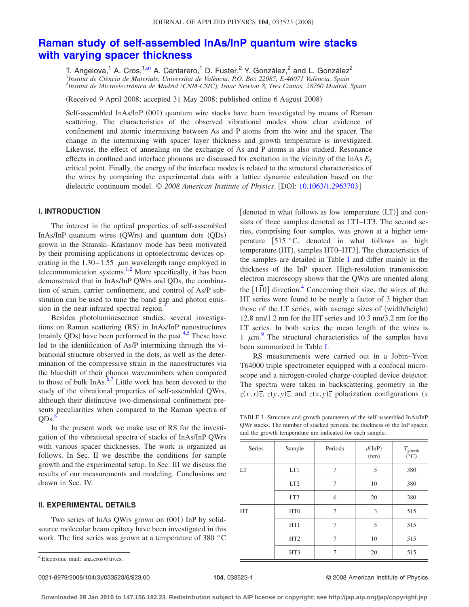# **[Raman study of self-assembled InAs/InP quantum wire stacks](http://dx.doi.org/10.1063/1.2963703) [with varying spacer thickness](http://dx.doi.org/10.1063/1.2963703)**

T. Angelova,<sup>1</sup> A. Cros,<sup>1[,a](#page-0-0))</sup> A. Cantarero,<sup>1</sup> D. Fuster,<sup>2</sup> Y. González,<sup>2</sup> and L. González<sup>2</sup><br><sup>1</sup>Institut de Ciència de Materials, Universitat de València, P.O. Box 22085, E-46071 València, Spain 2 *Institut de Microelectrónica de Madrid (CNM-CSIC), Isaac Newton 8, Tres Cantos, 28760 Madrid, Spain*

Received 9 April 2008; accepted 31 May 2008; published online 6 August 2008-

Self-assembled InAs/InP (001) quantum wire stacks have been investigated by means of Raman scattering. The characteristics of the observed vibrational modes show clear evidence of confinement and atomic intermixing between As and P atoms from the wire and the spacer. The change in the intermixing with spacer layer thickness and growth temperature is investigated. Likewise, the effect of annealing on the exchange of As and P atoms is also studied. Resonance effects in confined and interface phonons are discussed for excitation in the vicinity of the InAs *E*<sup>1</sup> critical point. Finally, the energy of the interface modes is related to the structural characteristics of the wires by comparing the experimental data with a lattice dynamic calculation based on the dielectric continuum model. © 2008 American Institute of Physics. [DOI: [10.1063/1.2963703](http://dx.doi.org/10.1063/1.2963703)]

# **I. INTRODUCTION**

The interest in the optical properties of self-assembled InAs/InP quantum wires (QWrs) and quantum dots (QDs) grown in the Stranski–Krastanov mode has been motivated by their promising applications in optoelectronic devices operating in the  $1.30-1.55$   $\mu$ m wavelength range employed in telecommunication systems.<sup>1[,2](#page-4-1)</sup> More specifically, it has been demonstrated that in InAs/InP QWrs and QDs, the combination of strain, carrier confinement, and control of As/P substitution can be used to tune the band gap and photon emission in the near-infrared spectral region. $\frac{3}{2}$ 

Besides photoluminescence studies, several investigations on Raman scattering (RS) in InAs/InP nanostructures (mainly QDs) have been performed in the past. $4,5$  $4,5$  These have led to the identification of As/P intermixing through the vibrational structure observed in the dots, as well as the determination of the compressive strain in the nanostructures via the blueshift of their phonon wavenumbers when compared to those of bulk  $InAs.<sup>6,7</sup>$  $InAs.<sup>6,7</sup>$  $InAs.<sup>6,7</sup>$  Little work has been devoted to the study of the vibrational properties of self-assembled QWrs, although their distinctive two-dimensional confinement presents peculiarities when compared to the Raman spectra of  $ODs.$ 

In the present work we make use of RS for the investigation of the vibrational spectra of stacks of InAs/InP QWrs with various spacer thicknesses. The work is organized as follows. In Sec. II we describe the conditions for sample growth and the experimental setup. In Sec. III we discuss the results of our measurements and modeling. Conclusions are drawn in Sec. IV.

#### **II. EXPERIMENTAL DETAILS**

Two series of InAs QWrs grown on (001) InP by solidsource molecular beam epitaxy have been investigated in this work. The first series was grown at a temperature of 380 °C

0021-8979/2008/104(3)/033523/6/\$23.00

3/033523/6/\$23.00 © 2008 American Institute of Physics **104**, 033523-1

[denoted in what follows as low temperature (LT)] and consists of three samples denoted as LT1–LT3. The second series, comprising four samples, was grown at a higher temperature  $[515 °C,$  denoted in what follows as high temperature (HT), samples HT0-HT3]. The characteristics of the samples are detailed in Table [I](#page-0-1) and differ mainly in the thickness of the InP spacer. High-resolution transmission electron microscopy shows that the QWrs are oriented along the  $[1\bar{1}0]$  direction.<sup>4</sup> Concerning their size, the wires of the HT series were found to be nearly a factor of 3 higher than those of the LT series, with average sizes of (width/height) 12.8 nm/1.2 nm for the HT series and 10.3 nm/3.2 nm for the LT series. In both series the mean length of the wires is 1  $\mu$ m.<sup>[9](#page-5-5)</sup> The structural characteristics of the samples have been summarized in Table [I.](#page-0-1)

RS measurements were carried out in a Jobin–Yvon T64000 triple spectrometer equipped with a confocal microscope and a nitrogen-cooled charge-coupled device detector. The spectra were taken in backscattering geometry in the  $z(x, x)\overline{z}$ ,  $z(y, y)\overline{z}$ , and  $z(x, y)\overline{z}$  polarization configurations *(x* 

<span id="page-0-1"></span>TABLE I. Structure and growth parameters of the self-assembled InAs/InP QWr stacks. The number of stacked periods, the thickness of the InP spacer, and the growth temperature are indicated for each sample.

| Series | Sample          | Periods | $d($ InP $)$<br>(nm) | $T_{\text{growth}}$<br>$\rm ^{(o}C)$ |
|--------|-----------------|---------|----------------------|--------------------------------------|
| LT     | LT1             | 7       | 5                    | 380                                  |
|        | LT <sub>2</sub> | 7       | 10                   | 380                                  |
|        | LT3             | 6       | 20                   | 380                                  |
| HT     | HT <sub>0</sub> | 7       | 3                    | 515                                  |
|        | HT1             | 7       | 5                    | 515                                  |
|        | HT <sub>2</sub> | 7       | 10                   | 515                                  |
|        | HT3             | 7       | 20                   | 515                                  |

<span id="page-0-0"></span>a)Electronic mail: ana.cros@uv.es.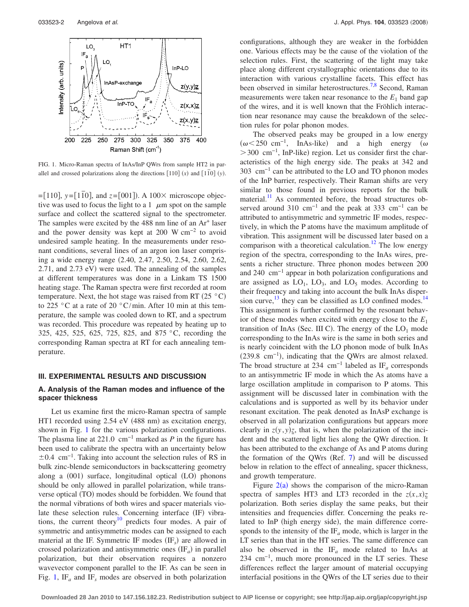<span id="page-1-0"></span>

FIG. 1. Micro-Raman spectra of InAs/InP QWrs from sample HT2 in parallel and crossed polarizations along the directions  $\begin{bmatrix} 110 \end{bmatrix} (x)$  and  $\begin{bmatrix} 110 \end{bmatrix} (y)$ .

 $=[110]$ ,  $y=[1\bar{1}0]$ , and  $z=[001]$ ). A 100 $\times$  microscope objective was used to focus the light to a 1  $\mu$ m spot on the sample surface and collect the scattered signal to the spectrometer. The samples were excited by the  $488$  nm line of an  $Ar<sup>+</sup>$  laser and the power density was kept at 200 W cm<sup>-2</sup> to avoid undesired sample heating. In the measurements under resonant conditions, several lines of an argon ion laser comprising a wide energy range 2.40, 2.47, 2.50, 2.54, 2.60, 2.62, 2.71, and 2.73 eV) were used. The annealing of the samples at different temperatures was done in a Linkam TS 1500 heating stage. The Raman spectra were first recorded at room temperature. Next, the hot stage was raised from RT  $(25 \degree C)$ to 225 °C at a rate of 20 °C/min. After 10 min at this temperature, the sample was cooled down to RT, and a spectrum was recorded. This procedure was repeated by heating up to 325, 425, 525, 625, 725, 825, and 875 °C, recording the corresponding Raman spectra at RT for each annealing temperature.

## **III. EXPERIMENTAL RESULTS AND DISCUSSION**

## **A. Analysis of the Raman modes and influence of the spacer thickness**

Let us examine first the micro-Raman spectra of sample HT1 recorded using 2.54 eV (488 nm) as excitation energy, shown in Fig. [1](#page-1-0) for the various polarization configurations. The plasma line at 221.0 cm−1 marked as *P* in the figure has been used to calibrate the spectra with an uncertainty below  $\pm 0.4$  cm<sup>-1</sup>. Taking into account the selection rules of RS in bulk zinc-blende semiconductors in backscattering geometry along a (001) surface, longitudinal optical (LO) phonons should be only allowed in parallel polarization, while transverse optical (TO) modes should be forbidden. We found that the normal vibrations of both wires and spacer materials violate these selection rules. Concerning interface (IF) vibrations, the current theory<sup>10</sup> predicts four modes. A pair of symmetric and antisymmetric modes can be assigned to each material at the IF. Symmetric IF modes (IF<sub>s</sub>) are allowed in crossed polarization and antisymmetric ones  $(\text{IF}_a)$  in parallel polarization, but their observation requires a nonzero wavevector component parallel to the IF. As can be seen in Fig. [1,](#page-1-0)  $IF_a$  and  $IF_s$  modes are observed in both polarization configurations, although they are weaker in the forbidden one. Various effects may be the cause of the violation of the selection rules. First, the scattering of the light may take place along different crystallographic orientations due to its interaction with various crystalline facets. This effect has been observed in similar heterostructures.<sup>7,[8](#page-5-4)</sup> Second, Raman measurements were taken near resonance to the  $E_1$  band gap of the wires, and it is well known that the Fröhlich interaction near resonance may cause the breakdown of the selection rules for polar phonon modes.

The observed peaks may be grouped in a low energy  $(\omega \le 250 \text{ cm}^{-1})$ , InAs-like) and a high energy  $(\omega$ > 300 cm<sup>-1</sup>, InP-like) region. Let us consider first the characteristics of the high energy side. The peaks at 342 and 303 cm−1 can be attributed to the LO and TO phonon modes of the InP barrier, respectively. Their Raman shifts are very similar to those found in previous reports for the bulk material.<sup>11</sup> As commented before, the broad structures observed around 310 cm<sup>-1</sup> and the peak at 333 cm<sup>-1</sup> can be attributed to antisymmetric and symmetric IF modes, respectively, in which the P atoms have the maximum amplitude of vibration. This assignment will be discussed later based on a comparison with a theoretical calculation.<sup>12</sup> The low energy region of the spectra, corresponding to the InAs wires, presents a richer structure. Three phonon modes between 200 and 240 cm−1 appear in both polarization configurations and are assigned as  $LO_1$ ,  $LO_3$ , and  $LO_5$  modes. According to their frequency and taking into account the bulk InAs dispersion curve,  $^{13}$  they can be classified as LO confined modes.<sup>14</sup> This assignment is further confirmed by the resonant behavior of these modes when excited with energy close to the *E*<sup>1</sup> transition of InAs (Sec. III C). The energy of the  $LO<sub>1</sub>$  mode corresponding to the InAs wire is the same in both series and is nearly coincident with the LO phonon mode of bulk InAs  $(239.8 \text{ cm}^{-1})$ , indicating that the QWrs are almost relaxed. The broad structure at 234 cm<sup>-1</sup> labeled as IF<sub>a</sub> corresponds to an antisymmetric IF mode in which the As atoms have a large oscillation amplitude in comparison to P atoms. This assignment will be discussed later in combination with the calculations and is supported as well by its behavior under resonant excitation. The peak denoted as InAsP exchange is observed in all polarization configurations but appears more clearly in  $z(y, y)z$ , that is, when the polarization of the incident and the scattered light lies along the QWr direction. It has been attributed to the exchange of As and P atoms during the formation of the QWrs (Ref. [7](#page-5-3)) and will be discussed below in relation to the effect of annealing, spacer thickness, and growth temperature.

Figure  $2(a)$  $2(a)$  shows the comparison of the micro-Raman spectra of samples HT3 and LT3 recorded in the  $z(x, x)z$ polarization. Both series display the same peaks, but their intensities and frequencies differ. Concerning the peaks related to InP (high energy side), the main difference corresponds to the intensity of the  $IF_a$  mode, which is larger in the LT series than that in the HT series. The same difference can also be observed in the  $IF_a$  mode related to InAs at 234 cm<sup>-1</sup>, much more pronounced in the LT series. These differences reflect the larger amount of material occupying interfacial positions in the QWrs of the LT series due to their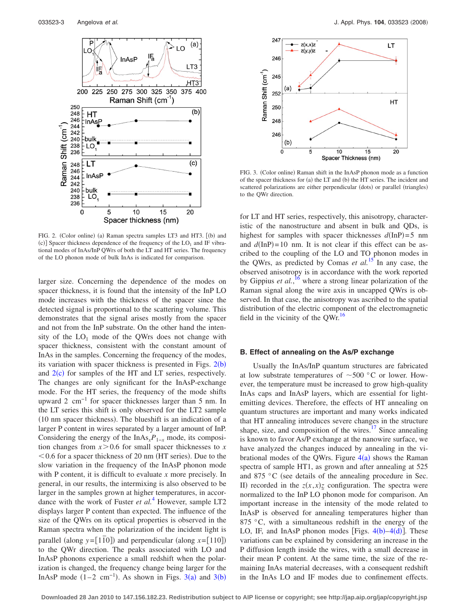<span id="page-2-0"></span>

FIG. 2. (Color online) (a) Raman spectra samples LT3 and HT3. [(b) and (c)] Spacer thickness dependence of the frequency of the LO<sub>1</sub> and IF vibrational modes of InAs/InP QWrs of both the LT and HT series. The frequency of the LO phonon mode of bulk InAs is indicated for comparison.

larger size. Concerning the dependence of the modes on spacer thickness, it is found that the intensity of the InP LO mode increases with the thickness of the spacer since the detected signal is proportional to the scattering volume. This demonstrates that the signal arises mostly from the spacer and not from the InP substrate. On the other hand the intensity of the  $LO_1$  mode of the QWrs does not change with spacer thickness, consistent with the constant amount of InAs in the samples. Concerning the frequency of the modes, its variation with spacer thickness is presented in Figs.  $2(b)$  $2(b)$ and  $2(c)$  $2(c)$  for samples of the HT and LT series, respectively. The changes are only significant for the InAsP-exchange mode. For the HT series, the frequency of the mode shifts upward 2 cm−1 for spacer thicknesses larger than 5 nm. In the LT series this shift is only observed for the LT2 sample (10 nm spacer thickness). The blueshift is an indication of a larger P content in wires separated by a larger amount of InP. Considering the energy of the  $InAs_xP_{1-x}$  mode, its composition changes from  $x > 0.6$  for small spacer thicknesses to  $x$  $<$  0.6 for a spacer thickness of 20 nm (HT series). Due to the slow variation in the frequency of the InAsP phonon mode with P content, it is difficult to evaluate *x* more precisely. In general, in our results, the intermixing is also observed to be larger in the samples grown at higher temperatures, in accordance with the work of Fuster *et al.*<sup>[4](#page-5-0)</sup> However, sample LT2 displays larger P content than expected. The influence of the size of the QWrs on its optical properties is observed in the Raman spectra when the polarization of the incident light is parallel (along  $y = [1\overline{1}0]$ ) and perpendicular (along  $x = [110]$ ) to the QWr direction. The peaks associated with LO and InAsP phonons experience a small redshift when the polarization is changed, the frequency change being larger for the InAsP mode  $(1-2 \text{ cm}^{-1})$ . As shown in Figs. [3](#page-2-1)(a) and 3(b)

<span id="page-2-1"></span>

FIG. 3. (Color online) Raman shift in the InAsP phonon mode as a function of the spacer thickness for (a) the LT and (b) the HT series. The incident and scattered polarizations are either perpendicular (dots) or parallel (triangles) to the QWr direction.

for LT and HT series, respectively, this anisotropy, characteristic of the nanostructure and absent in bulk and QDs, is highest for samples with spacer thicknesses  $d($ InP)=5 nmand  $d(\text{InP}) = 10$  nm. It is not clear if this effect can be ascribed to the coupling of the LO and TO phonon modes in the QWrs, as predicted by Comas *et al.*[15](#page-5-11) In any case, the observed anisotropy is in accordance with the work reported by Gippius *et al.*, [16](#page-5-12) where a strong linear polarization of the Raman signal along the wire axis in uncapped QWrs is observed. In that case, the anisotropy was ascribed to the spatial distribution of the electric component of the electromagnetic field in the vicinity of the  $QWr<sup>16</sup>$ 

#### **B. Effect of annealing on the As/P exchange**

Usually the InAs/InP quantum structures are fabricated at low substrate temperatures of  $\sim$  500 °C or lower. However, the temperature must be increased to grow high-quality InAs caps and InAsP layers, which are essential for lightemitting devices. Therefore, the effects of HT annealing on quantum structures are important and many works indicated that HT annealing introduces severe changes in the structure shape, size, and composition of the wires. $17$  Since annealing is known to favor As/P exchange at the nanowire surface, we have analyzed the changes induced by annealing in the vibrational modes of the QWrs. Figure  $4(a)$  $4(a)$  shows the Raman spectra of sample HT1, as grown and after annealing at 525 and 875  $\degree$ C (see details of the annealing procedure in Sec. II) recorded in the  $z(x, x)z$  configuration. The spectra were normalized to the InP LO phonon mode for comparison. An important increase in the intensity of the mode related to InAsP is observed for annealing temperatures higher than 875 °C, with a simultaneous redshift in the energy of the LO, IF, and InAsP phonon modes [Figs.  $4(b) - 4(d)$  $4(b) - 4(d)$ ]. These variations can be explained by considering an increase in the P diffusion length inside the wires, with a small decrease in their mean P content. At the same time, the size of the remaining InAs material decreases, with a consequent redshift in the InAs LO and IF modes due to confinement effects.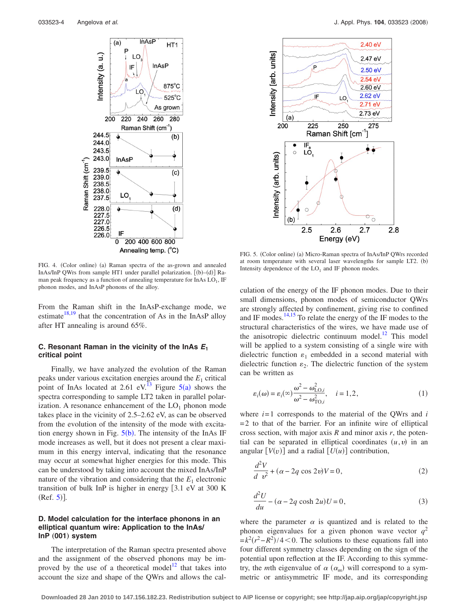<span id="page-3-0"></span>

FIG. 4. (Color online) (a) Raman spectra of the as-grown and annealed InAs/InP QWrs from sample HT1 under parallel polarization. [(b)–(d)] Raman peak frequency as a function of annealing temperature for InAs  $LO<sub>1</sub>$ , IF phonon modes, and InAsP phonons of the alloy.

From the Raman shift in the InAsP-exchange mode, we estimate $18,19$  $18,19$  that the concentration of As in the InAsP alloy after HT annealing is around 65%.

## **C. Resonant Raman in the vicinity of the InAs** *E***<sup>1</sup> critical point**

Finally, we have analyzed the evolution of the Raman peaks under various excitation energies around the  $E_1$  critical point of InAs located at 2.61 eV.<sup>13</sup> Figure  $5(a)$  $5(a)$  shows the spectra corresponding to sample LT2 taken in parallel polarization. A resonance enhancement of the  $LO_1$  phonon mode takes place in the vicinity of 2.5–2.62 eV, as can be observed from the evolution of the intensity of the mode with excitation energy shown in Fig.  $5(b)$  $5(b)$ . The intensity of the InAs IF mode increases as well, but it does not present a clear maximum in this energy interval, indicating that the resonance may occur at somewhat higher energies for this mode. This can be understood by taking into account the mixed InAs/InP nature of the vibration and considering that the  $E_1$  electronic transition of bulk InP is higher in energy [3.1 eV at 300 K  $(Ref. 5)$  $(Ref. 5)$  $(Ref. 5)$ ].

# **D. Model calculation for the interface phonons in an elliptical quantum wire: Application to the InAs/**  $InP (001)$  system

The interpretation of the Raman spectra presented above and the assignment of the observed phonons may be improved by the use of a theoretical model<sup>12</sup> that takes into account the size and shape of the QWrs and allows the cal-

<span id="page-3-1"></span>

FIG. 5. (Color online) (a) Micro-Raman spectra of InAs/InP QWrs recorded at room temperature with several laser wavelengths for sample LT2. (b) Intensity dependence of the  $LO_1$  and IF phonon modes.

culation of the energy of the IF phonon modes. Due to their small dimensions, phonon modes of semiconductor QWrs are strongly affected by confinement, giving rise to confined and IF modes. $\frac{14,15}{16}$  $\frac{14,15}{16}$  $\frac{14,15}{16}$  To relate the energy of the IF modes to the structural characteristics of the wires, we have made use of the anisotropic dielectric continuum model.<sup>12</sup> This model will be applied to a system consisting of a single wire with dielectric function  $\varepsilon_1$  embedded in a second material with dielectric function  $\varepsilon_2$ . The dielectric function of the system can be written as

$$
\varepsilon_i(\omega) = \varepsilon_i(\infty) \frac{\omega^2 - \omega_{\text{LO},i}^2}{\omega^2 - \omega_{\text{TO},i}^2}, \quad i = 1, 2,
$$
\n<sup>(1)</sup>

where  $i=1$  corresponds to the material of the QWrs and  $i$  $= 2$  to that of the barrier. For an infinite wire of elliptical cross section, with major axis *R* and minor axis *r*, the potential can be separated in elliptical coordinates  $(u, v)$  in an angular  $[V(v)]$  and a radial  $[U(u)]$  contribution,

$$
\frac{d^2V}{d\ v^2} + (\alpha - 2q\cos 2v)V = 0,\tag{2}
$$

$$
\frac{d^2U}{du} - (\alpha - 2q \cosh 2u)U = 0,
$$
\n(3)

where the parameter  $\alpha$  is quantized and is related to the phonon eigenvalues for a given phonon wave vector  $q^2$  $=k^2(r^2-R^2)/4$  < 0. The solutions to these equations fall into four different symmetry classes depending on the sign of the potential upon reflection at the IF. According to this symmetry, the *m*th eigenvalue of  $\alpha$  ( $\alpha_m$ ) will correspond to a symmetric or antisymmetric IF mode, and its corresponding

**Downloaded 28 Jan 2010 to 147.156.182.23. Redistribution subject to AIP license or copyright; see http://jap.aip.org/jap/copyright.jsp**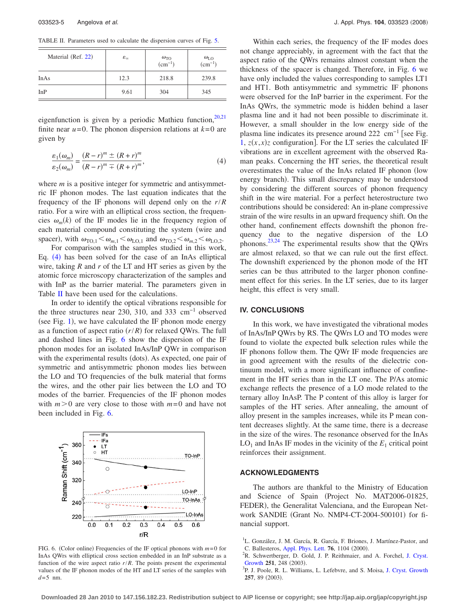<span id="page-4-4"></span>TABLE II. Parameters used to calculate the dispersion curves of Fig. [5.](#page-3-1)

| Material (Ref. 22) | $\varepsilon_{\infty}$ | $\frac{\omega_{\text{TO}}}{(\text{cm}^{-1})}$ | $\frac{\omega_{\text{LO}}}{(\text{cm}^{-1})}$ |
|--------------------|------------------------|-----------------------------------------------|-----------------------------------------------|
| InAs               | 12.3                   | 218.8                                         | 239.8                                         |
| InP                | 9.61                   | 304                                           | 345                                           |

eigenfunction is given by a periodic Mathieu function,  $^{20,21}$  $^{20,21}$  $^{20,21}$ finite near  $u=0$ . The phonon dispersion relations at  $k=0$  are given by

<span id="page-4-3"></span>
$$
\frac{\varepsilon_1(\omega_m)}{\varepsilon_2(\omega_m)} = \frac{(R-r)^m \pm (R+r)^m}{(R-r)^m \mp (R+r)^m},\tag{4}
$$

where *m* is a positive integer for symmetric and antisymmetric IF phonon modes. The last equation indicates that the frequency of the IF phonons will depend only on the *r*/*R* ratio. For a wire with an elliptical cross section, the frequencies  $\omega_m(k)$  of the IF modes lie in the frequency region of each material compound constituting the system (wire and spacer), with  $\omega_{\text{TO},1} < \omega_{m,1} < \omega_{\text{LO},1}$  and  $\omega_{\text{TO},2} < \omega_{m,2} < \omega_{\text{LO},2}$ .

For comparison with the samples studied in this work, Eq. ([4](#page-4-3)) has been solved for the case of an InAs elliptical wire, taking *R* and *r* of the LT and HT series as given by the atomic force microscopy characterization of the samples and with InP as the barrier material. The parameters given in Table [II](#page-4-4) have been used for the calculations.

In order to identify the optical vibrations responsible for the three structures near 230, 310, and 333 cm−1 observed (see Fig. [1](#page-1-0)), we have calculated the IF phonon mode energy as a function of aspect ratio  $(r/R)$  for relaxed QWrs. The full and dashed lines in Fig. [6](#page-4-5) show the dispersion of the IF phonon modes for an isolated InAs/InP QWr in comparison with the experimental results (dots). As expected, one pair of symmetric and antisymmetric phonon modes lies between the LO and TO frequencies of the bulk material that forms the wires, and the other pair lies between the LO and TO modes of the barrier. Frequencies of the IF phonon modes with  $m>0$  are very close to those with  $m=0$  and have not been included in Fig. [6.](#page-4-5)

<span id="page-4-5"></span>

FIG. 6. (Color online) Frequencies of the IF optical phonons with  $m=0$  for InAs QWrs with elliptical cross section embedded in an InP substrate as a function of the wire aspect ratio  $r/R$ . The points present the experimental values of the IF phonon modes of the HT and LT series of the samples with  $d = 5$  nm.

Within each series, the frequency of the IF modes does not change appreciably, in agreement with the fact that the aspect ratio of the QWrs remains almost constant when the thickness of the spacer is changed. Therefore, in Fig. [6](#page-4-5) we have only included the values corresponding to samples LT1 and HT1. Both antisymmetric and symmetric IF phonons were observed for the InP barrier in the experiment. For the InAs QWrs, the symmetric mode is hidden behind a laser plasma line and it had not been possible to discriminate it. However, a small shoulder in the low energy side of the plasma line indicates its presence around 222 cm<sup>-1</sup> [see Fig. [1,](#page-1-0)  $z(x, x)z$  configuration]. For the LT series the calculated IF vibrations are in excellent agreement with the observed Raman peaks. Concerning the HT series, the theoretical result overestimates the value of the InAs related IF phonon (low energy branch). This small discrepancy may be understood by considering the different sources of phonon frequency shift in the wire material. For a perfect heterostructure two contributions should be considered: An in-plane compressive strain of the wire results in an upward frequency shift. On the other hand, confinement effects downshift the phonon frequency due to the negative dispersion of the LO phonons[.23,](#page-5-18)[24](#page-5-19) The experimental results show that the QWrs are almost relaxed, so that we can rule out the first effect. The downshift experienced by the phonon mode of the HT series can be thus attributed to the larger phonon confinement effect for this series. In the LT series, due to its larger height, this effect is very small.

## **IV. CONCLUSIONS**

In this work, we have investigated the vibrational modes of InAs/InP QWrs by RS. The QWrs LO and TO modes were found to violate the expected bulk selection rules while the IF phonons follow them. The QWr IF mode frequencies are in good agreement with the results of the dielectric continuum model, with a more significant influence of confinement in the HT series than in the LT one. The P/As atomic exchange reflects the presence of a LO mode related to the ternary alloy InAsP. The P content of this alloy is larger for samples of the HT series. After annealing, the amount of alloy present in the samples increases, while its P mean content decreases slightly. At the same time, there is a decrease in the size of the wires. The resonance observed for the InAs  $LO<sub>1</sub>$  and InAs IF modes in the vicinity of the  $E<sub>1</sub>$  critical point reinforces their assignment.

#### **ACKNOWLEDGMENTS**

The authors are thankful to the Ministry of Education and Science of Spain (Project No. MAT2006-01825, FEDER), the Generalitat Valenciana, and the European Network SANDIE (Grant No. NMP4-CT-2004-500101) for financial support.

<span id="page-4-0"></span><sup>&</sup>lt;sup>1</sup>L. González, J. M. García, R. García, F. Briones, J. Martínez-Pastor, and

C. Ballesteros, [Appl. Phys. Lett.](http://dx.doi.org/10.1063/1.125952) **76**, 1104 (2000).

<span id="page-4-1"></span><sup>&</sup>lt;sup>2</sup>R. Schwertberger, D. Gold, J. P. Reithmaier, and A. Forchel, [J. Cryst.](http://dx.doi.org/10.1016/S0022-0248(02)02371-0) [Growth](http://dx.doi.org/10.1016/S0022-0248(02)02371-0) 251, 248 (2003).

<span id="page-4-2"></span><sup>&</sup>lt;sup>3</sup>P. J. Poole, R. L. Williams, L. Lefebvre, and S. Moisa, [J. Cryst. Growth](http://dx.doi.org/10.1016/S0022-0248(03)01421-0) 257, 89 (2003).